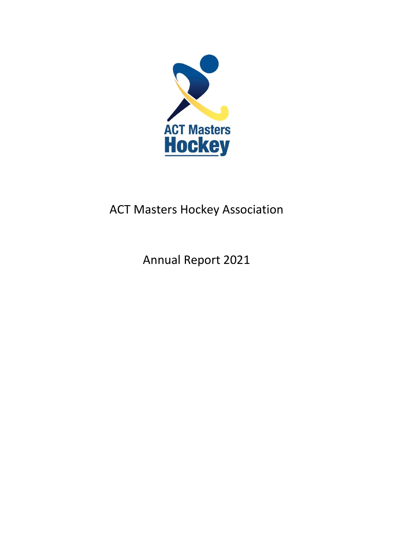

# ACT Masters Hockey Association

Annual Report 2021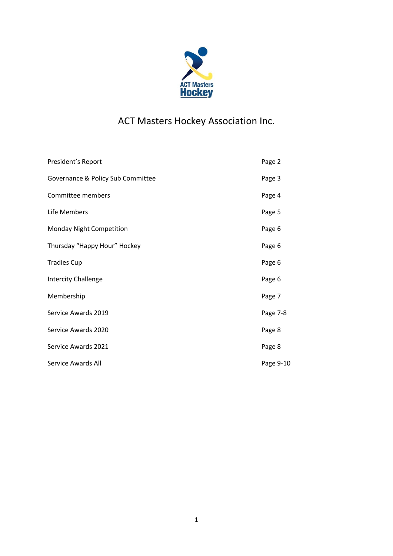

## ACT Masters Hockey Association Inc.

| President's Report                | Page 2    |
|-----------------------------------|-----------|
| Governance & Policy Sub Committee | Page 3    |
| Committee members                 | Page 4    |
| Life Members                      | Page 5    |
| Monday Night Competition          | Page 6    |
| Thursday "Happy Hour" Hockey      | Page 6    |
| <b>Tradies Cup</b>                | Page 6    |
| <b>Intercity Challenge</b>        | Page 6    |
| Membership                        | Page 7    |
| Service Awards 2019               | Page 7-8  |
| Service Awards 2020               | Page 8    |
| Service Awards 2021               | Page 8    |
| Service Awards All                | Page 9-10 |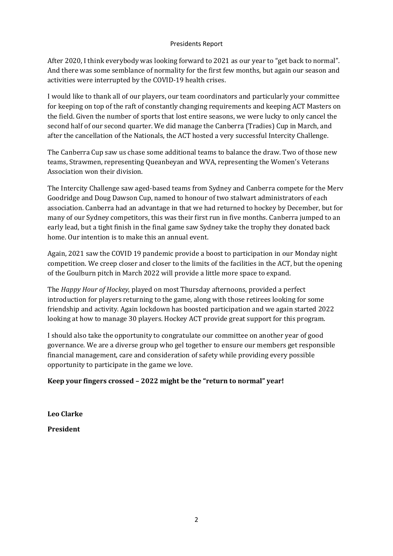#### Presidents Report

After 2020, I think everybody was looking forward to 2021 as our year to "get back to normal". And there was some semblance of normality for the first few months, but again our season and activities were interrupted by the COVID-19 health crises.

I would like to thank all of our players, our team coordinators and particularly your committee for keeping on top of the raft of constantly changing requirements and keeping ACT Masters on the field. Given the number of sports that lost entire seasons, we were lucky to only cancel the second half of our second quarter. We did manage the Canberra (Tradies) Cup in March, and after the cancellation of the Nationals, the ACT hosted a very successful Intercity Challenge.

The Canberra Cup saw us chase some additional teams to balance the draw. Two of those new teams, Strawmen, representing Queanbeyan and WVA, representing the Women's Veterans Association won their division.

The Intercity Challenge saw aged-based teams from Sydney and Canberra compete for the Merv Goodridge and Doug Dawson Cup, named to honour of two stalwart administrators of each association. Canberra had an advantage in that we had returned to hockey by December, but for many of our Sydney competitors, this was their first run in five months. Canberra jumped to an early lead, but a tight finish in the final game saw Sydney take the trophy they donated back home. Our intention is to make this an annual event.

Again, 2021 saw the COVID 19 pandemic provide a boost to participation in our Monday night competition. We creep closer and closer to the limits of the facilities in the ACT, but the opening of the Goulburn pitch in March 2022 will provide a little more space to expand.

The *Happy Hour of Hockey*, played on most Thursday afternoons, provided a perfect introduction for players returning to the game, along with those retirees looking for some friendship and activity. Again lockdown has boosted participation and we again started 2022 looking at how to manage 30 players. Hockey ACT provide great support for this program.

I should also take the opportunity to congratulate our committee on another year of good governance. We are a diverse group who gel together to ensure our members get responsible financial management, care and consideration of safety while providing every possible opportunity to participate in the game we love.

## **Keep your fingers crossed – 2022 might be the "return to normal" year!**

**Leo Clarke** 

**President**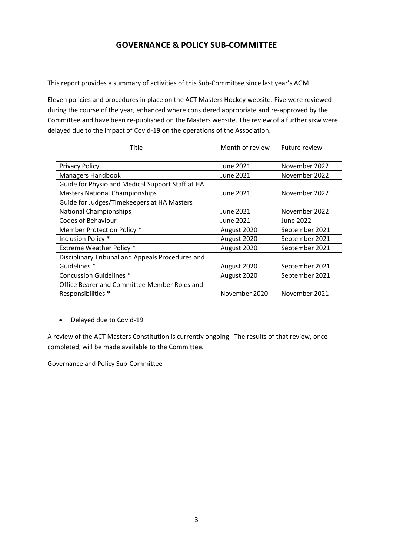## **GOVERNANCE & POLICY SUB-COMMITTEE**

This report provides a summary of activities of this Sub-Committee since last year's AGM.

Eleven policies and procedures in place on the ACT Masters Hockey website. Five were reviewed during the course of the year, enhanced where considered appropriate and re-approved by the Committee and have been re-published on the Masters website. The review of a further sixw were delayed due to the impact of Covid-19 on the operations of the Association.

| <b>Title</b>                                     | Month of review | <b>Future review</b> |
|--------------------------------------------------|-----------------|----------------------|
|                                                  |                 |                      |
| <b>Privacy Policy</b>                            | June 2021       | November 2022        |
| <b>Managers Handbook</b>                         | June 2021       | November 2022        |
| Guide for Physio and Medical Support Staff at HA |                 |                      |
| <b>Masters National Championships</b>            | June 2021       | November 2022        |
| Guide for Judges/Timekeepers at HA Masters       |                 |                      |
| <b>National Championships</b>                    | June 2021       | November 2022        |
| <b>Codes of Behaviour</b>                        | June 2021       | June 2022            |
| Member Protection Policy*                        | August 2020     | September 2021       |
| Inclusion Policy *                               | August 2020     | September 2021       |
| Extreme Weather Policy *                         | August 2020     | September 2021       |
| Disciplinary Tribunal and Appeals Procedures and |                 |                      |
| Guidelines *                                     | August 2020     | September 2021       |
| <b>Concussion Guidelines *</b>                   | August 2020     | September 2021       |
| Office Bearer and Committee Member Roles and     |                 |                      |
| Responsibilities *                               | November 2020   | November 2021        |

• Delayed due to Covid-19

A review of the ACT Masters Constitution is currently ongoing. The results of that review, once completed, will be made available to the Committee.

Governance and Policy Sub-Committee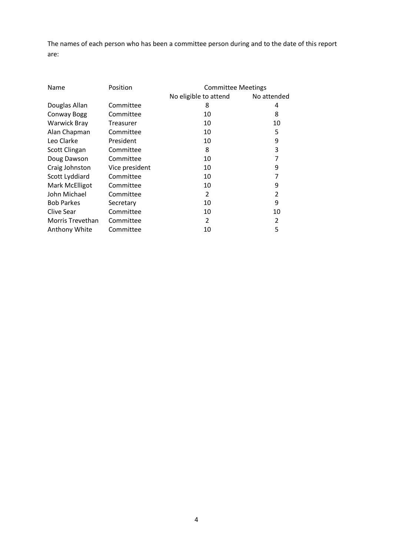The names of each person who has been a committee person during and to the date of this report are:

| Name                  | Position       | <b>Committee Meetings</b> |             |
|-----------------------|----------------|---------------------------|-------------|
|                       |                | No eligible to attend     | No attended |
| Douglas Allan         | Committee      | 8                         | 4           |
| <b>Conway Bogg</b>    | Committee      | 10                        | 8           |
| <b>Warwick Bray</b>   | Treasurer      | 10                        | 10          |
| Alan Chapman          | Committee      | 10                        | 5           |
| Leo Clarke            | President      | 10                        | 9           |
| Scott Clingan         | Committee      | 8                         | 3           |
| Doug Dawson           | Committee      | 10                        | 7           |
| Craig Johnston        | Vice president | 10                        | 9           |
| Scott Lyddiard        | Committee      | 10                        | 7           |
| <b>Mark McElligot</b> | Committee      | 10                        | 9           |
| John Michael          | Committee      | $\overline{2}$            | 2           |
| <b>Bob Parkes</b>     | Secretary      | 10                        | 9           |
| Clive Sear            | Committee      | 10                        | 10          |
| Morris Trevethan      | Committee      | 2                         | 2           |
| Anthony White         | Committee      | 10                        | 5           |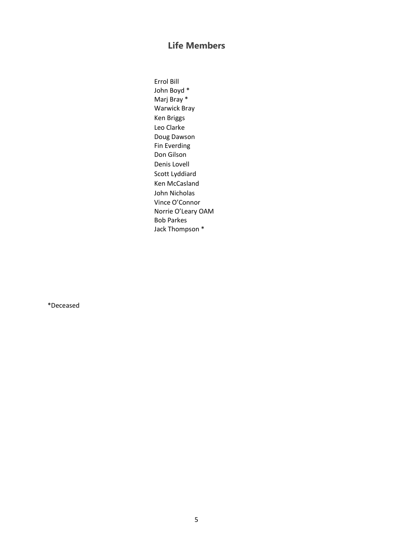## **Life Members**

Errol Bill John Boyd \* Marj Bray \* Warwick Bray Ken Briggs Leo Clarke Doug Dawson Fin Everding Don Gilson Denis Lovell Scott Lyddiard Ken McCasland John Nicholas Vince O'Connor Norrie O'Leary OAM Bob Parkes Jack Thompson \*

\*Deceased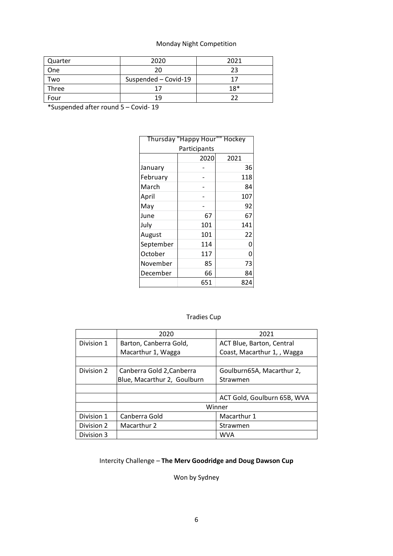## Monday Night Competition

| Quarter | 2020                 | 2021  |
|---------|----------------------|-------|
| One     |                      | າລ    |
| Two     | Suspended - Covid-19 |       |
| Three   |                      | $18*$ |
| Four    |                      |       |

\*Suspended after round 5 – Covid- 19

| Thursday "Happy Hour"" Hockey |              |      |  |
|-------------------------------|--------------|------|--|
|                               | Participants |      |  |
|                               | 2020         | 2021 |  |
| January                       |              | 36   |  |
| February                      |              | 118  |  |
| March                         |              | 84   |  |
| April                         |              | 107  |  |
| May                           |              | 92   |  |
| June                          | 67           | 67   |  |
| July                          | 101          | 141  |  |
| August                        | 101          | 22   |  |
| September                     | 114          | 0    |  |
| October                       | 117          | 0    |  |
| November                      | 85           | 73   |  |
| December                      | 66           | 84   |  |
|                               | 651          | 824  |  |

## Tradies Cup

|            | 2020                        | 2021                        |
|------------|-----------------------------|-----------------------------|
| Division 1 | Barton, Canberra Gold,      | ACT Blue, Barton, Central   |
|            | Macarthur 1, Wagga          | Coast, Macarthur 1, , Wagga |
|            |                             |                             |
| Division 2 | Canberra Gold 2, Canberra   | Goulburn65A, Macarthur 2,   |
|            | Blue, Macarthur 2, Goulburn | Strawmen                    |
|            |                             |                             |
|            |                             | ACT Gold, Goulburn 65B, WVA |
|            |                             | Winner                      |
| Division 1 | Canberra Gold               | Macarthur 1                 |
| Division 2 | Macarthur 2                 | Strawmen                    |
| Division 3 |                             | <b>WVA</b>                  |

## Intercity Challenge – **The Merv Goodridge and Doug Dawson Cup**

Won by Sydney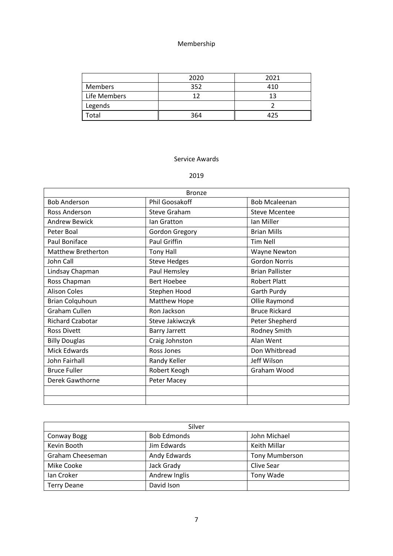#### Membership

|              | 2020 | 2021 |
|--------------|------|------|
| Members      | 352  | 410  |
| Life Members |      | 12   |
| Legends      |      |      |
| ้otal        | 364  | 425  |

#### Service Awards

#### 2019

| <b>Bronze</b>             |                      |                        |
|---------------------------|----------------------|------------------------|
| <b>Bob Anderson</b>       | Phil Goosakoff       | <b>Bob Mcaleenan</b>   |
| Ross Anderson             | Steve Graham         | <b>Steve Mcentee</b>   |
| <b>Andrew Bewick</b>      | Ian Gratton          | Ian Miller             |
| Peter Boal                | Gordon Gregory       | <b>Brian Mills</b>     |
| Paul Boniface             | Paul Griffin         | <b>Tim Nell</b>        |
| <b>Matthew Bretherton</b> | <b>Tony Hall</b>     | <b>Wayne Newton</b>    |
| John Call                 | <b>Steve Hedges</b>  | <b>Gordon Norris</b>   |
| Lindsay Chapman           | Paul Hemsley         | <b>Brian Pallister</b> |
| Ross Chapman              | <b>Bert Hoebee</b>   | <b>Robert Platt</b>    |
| <b>Alison Coles</b>       | Stephen Hood         | Garth Purdy            |
| Brian Colquhoun           | Matthew Hope         | Ollie Raymond          |
| <b>Graham Cullen</b>      | Ron Jackson          | <b>Bruce Rickard</b>   |
| <b>Richard Czabotar</b>   | Steve Jakiwczyk      | Peter Shepherd         |
| <b>Ross Divett</b>        | <b>Barry Jarrett</b> | Rodney Smith           |
| <b>Billy Douglas</b>      | Craig Johnston       | Alan Went              |
| Mick Edwards              | Ross Jones           | Don Whitbread          |
| John Fairhall             | Randy Keller         | Jeff Wilson            |
| <b>Bruce Fuller</b>       | Robert Keogh         | Graham Wood            |
| Derek Gawthorne           | Peter Macey          |                        |
|                           |                      |                        |
|                           |                      |                        |

| Silver             |                    |                       |
|--------------------|--------------------|-----------------------|
| Conway Bogg        | <b>Bob Edmonds</b> | John Michael          |
| Kevin Booth        | Jim Edwards        | Keith Millar          |
| Graham Cheeseman   | Andy Edwards       | <b>Tony Mumberson</b> |
| Mike Cooke         | Jack Grady         | Clive Sear            |
| Ian Croker         | Andrew Inglis      | Tony Wade             |
| <b>Terry Deane</b> | David Ison         |                       |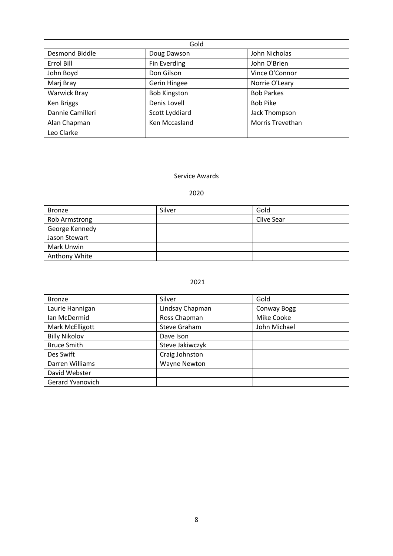| Gold                  |                     |                   |
|-----------------------|---------------------|-------------------|
| <b>Desmond Biddle</b> | Doug Dawson         | John Nicholas     |
| Errol Bill            | Fin Everding        | John O'Brien      |
| John Boyd             | Don Gilson          | Vince O'Connor    |
| Marj Bray             | Gerin Hingee        | Norrie O'Leary    |
| <b>Warwick Bray</b>   | <b>Bob Kingston</b> | <b>Bob Parkes</b> |
| Ken Briggs            | Denis Lovell        | <b>Bob Pike</b>   |
| Dannie Camilleri      | Scott Lyddiard      | Jack Thompson     |
| Alan Chapman          | Ken Mccasland       | Morris Trevethan  |
| Leo Clarke            |                     |                   |

#### Service Awards

### 2020

| <b>Bronze</b>  | Silver | Gold       |
|----------------|--------|------------|
| Rob Armstrong  |        | Clive Sear |
| George Kennedy |        |            |
| Jason Stewart  |        |            |
| Mark Unwin     |        |            |
| Anthony White  |        |            |

#### 2021

| <b>Bronze</b>        | Silver          | Gold         |
|----------------------|-----------------|--------------|
| Laurie Hannigan      | Lindsay Chapman | Conway Bogg  |
| Ian McDermid         | Ross Chapman    | Mike Cooke   |
| Mark McElligott      | Steve Graham    | John Michael |
| <b>Billy Nikolov</b> | Dave Ison       |              |
| <b>Bruce Smith</b>   | Steve Jakiwczyk |              |
| Des Swift            | Craig Johnston  |              |
| Darren Williams      | Wayne Newton    |              |
| David Webster        |                 |              |
| Gerard Yvanovich     |                 |              |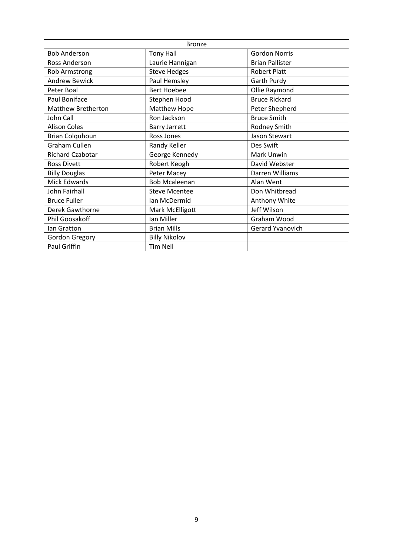| <b>Bronze</b>             |                      |                         |  |
|---------------------------|----------------------|-------------------------|--|
| <b>Bob Anderson</b>       | <b>Tony Hall</b>     | <b>Gordon Norris</b>    |  |
| Ross Anderson             | Laurie Hannigan      | <b>Brian Pallister</b>  |  |
| Rob Armstrong             | <b>Steve Hedges</b>  | <b>Robert Platt</b>     |  |
| <b>Andrew Bewick</b>      | Paul Hemsley         | Garth Purdy             |  |
| Peter Boal                | <b>Bert Hoebee</b>   | Ollie Raymond           |  |
| Paul Boniface             | Stephen Hood         | <b>Bruce Rickard</b>    |  |
| <b>Matthew Bretherton</b> | Matthew Hope         | Peter Shepherd          |  |
| John Call                 | Ron Jackson          | <b>Bruce Smith</b>      |  |
| <b>Alison Coles</b>       | <b>Barry Jarrett</b> | Rodney Smith            |  |
| <b>Brian Colquhoun</b>    | Ross Jones           | Jason Stewart           |  |
| Graham Cullen             | Randy Keller         | Des Swift               |  |
| <b>Richard Czabotar</b>   | George Kennedy       | Mark Unwin              |  |
| <b>Ross Divett</b>        | Robert Keogh         | David Webster           |  |
| <b>Billy Douglas</b>      | Peter Macey          | Darren Williams         |  |
| Mick Edwards              | <b>Bob Mcaleenan</b> | Alan Went               |  |
| John Fairhall             | <b>Steve Mcentee</b> | Don Whitbread           |  |
| <b>Bruce Fuller</b>       | Ian McDermid         | Anthony White           |  |
| Derek Gawthorne           | Mark McElligott      | Jeff Wilson             |  |
| Phil Goosakoff            | Ian Miller           | Graham Wood             |  |
| lan Gratton               | <b>Brian Mills</b>   | <b>Gerard Yvanovich</b> |  |
| Gordon Gregory            | <b>Billy Nikolov</b> |                         |  |
| Paul Griffin              | <b>Tim Nell</b>      |                         |  |